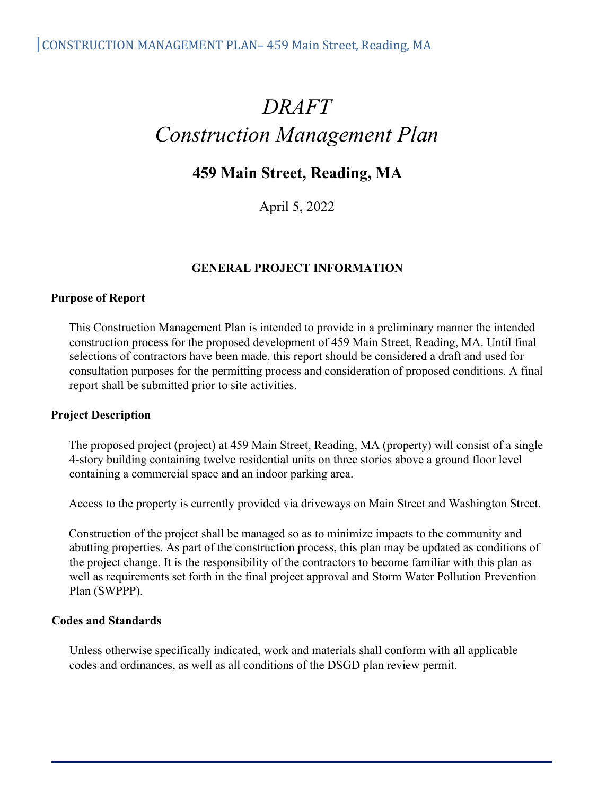# *DRAFT Construction Management Plan*

# **459 Main Street, Reading, MA**

April 5, 2022

#### **GENERAL PROJECT INFORMATION**

#### **Purpose of Report**

This Construction Management Plan is intended to provide in a preliminary manner the intended construction process for the proposed development of 459 Main Street, Reading, MA. Until final selections of contractors have been made, this report should be considered a draft and used for consultation purposes for the permitting process and consideration of proposed conditions. A final report shall be submitted prior to site activities.

#### **Project Description**

The proposed project (project) at 459 Main Street, Reading, MA (property) will consist of a single 4-story building containing twelve residential units on three stories above a ground floor level containing a commercial space and an indoor parking area.

Access to the property is currently provided via driveways on Main Street and Washington Street.

Construction of the project shall be managed so as to minimize impacts to the community and abutting properties. As part of the construction process, this plan may be updated as conditions of the project change. It is the responsibility of the contractors to become familiar with this plan as well as requirements set forth in the final project approval and Storm Water Pollution Prevention Plan (SWPPP).

#### **Codes and Standards**

Unless otherwise specifically indicated, work and materials shall conform with all applicable codes and ordinances, as well as all conditions of the DSGD plan review permit.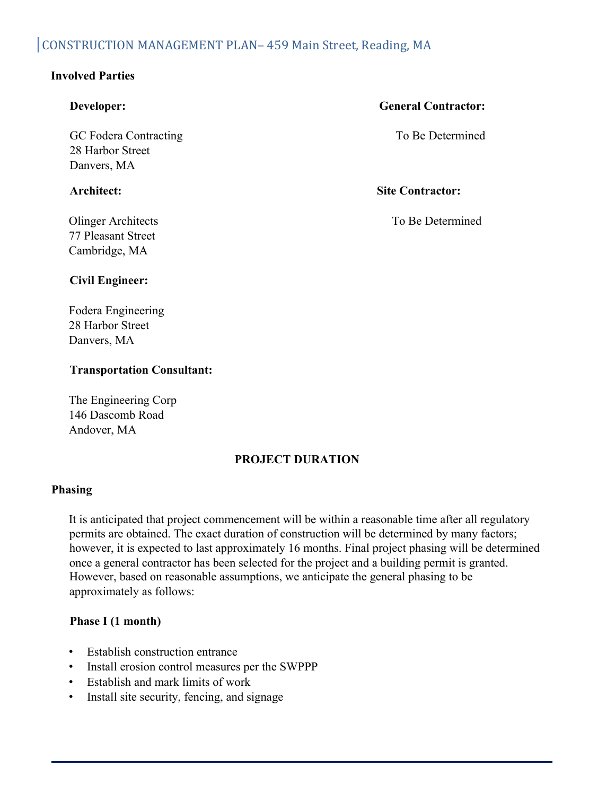## CONSTRUCTION MANAGEMENT PLAN- 459 Main Street, Reading, MA

### **Involved Parties**

GC Fodera Contracting 28 Harbor Street Danvers, MA

77 Pleasant Street Cambridge, MA

#### **Developer: General Contractor:**

To Be Determined

**Architect: Site Contractor:**

Olinger Architects To Be Determined

#### **Civil Engineer:**

Fodera Engineering 28 Harbor Street Danvers, MA

#### **Transportation Consultant:**

The Engineering Corp 146 Dascomb Road Andover, MA

#### **PROJECT DURATION**

#### **Phasing**

It is anticipated that project commencement will be within a reasonable time after all regulatory permits are obtained. The exact duration of construction will be determined by many factors; however, it is expected to last approximately 16 months. Final project phasing will be determined once a general contractor has been selected for the project and a building permit is granted. However, based on reasonable assumptions, we anticipate the general phasing to be approximately as follows:

#### **Phase I (1 month)**

- Establish construction entrance
- Install erosion control measures per the SWPPP
- Establish and mark limits of work
- Install site security, fencing, and signage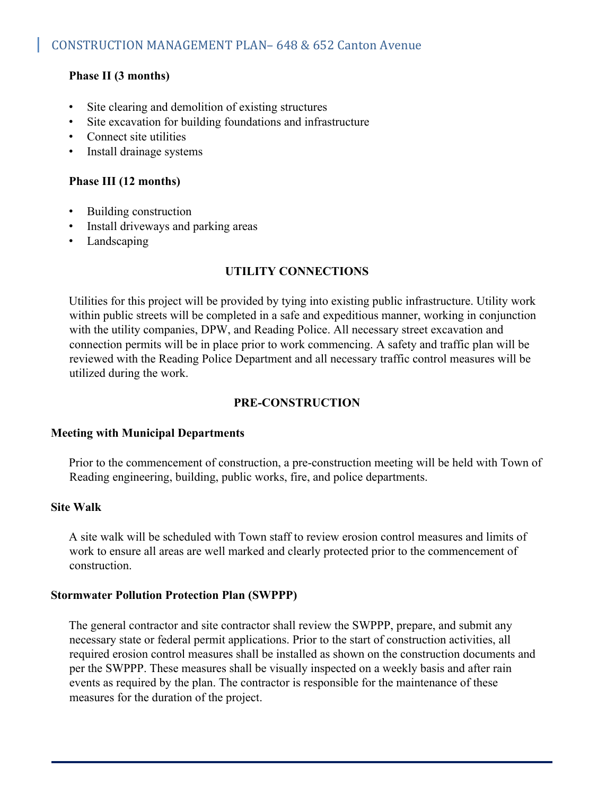### **Phase II (3 months)**

- Site clearing and demolition of existing structures
- Site excavation for building foundations and infrastructure
- Connect site utilities
- Install drainage systems

#### **Phase III (12 months)**

- Building construction
- Install driveways and parking areas
- Landscaping

#### **UTILITY CONNECTIONS**

Utilities for this project will be provided by tying into existing public infrastructure. Utility work within public streets will be completed in a safe and expeditious manner, working in conjunction with the utility companies, DPW, and Reading Police. All necessary street excavation and connection permits will be in place prior to work commencing. A safety and traffic plan will be reviewed with the Reading Police Department and all necessary traffic control measures will be utilized during the work.

#### **PRE-CONSTRUCTION**

#### **Meeting with Municipal Departments**

Prior to the commencement of construction, a pre-construction meeting will be held with Town of Reading engineering, building, public works, fire, and police departments.

#### **Site Walk**

A site walk will be scheduled with Town staff to review erosion control measures and limits of work to ensure all areas are well marked and clearly protected prior to the commencement of construction.

#### **Stormwater Pollution Protection Plan (SWPPP)**

The general contractor and site contractor shall review the SWPPP, prepare, and submit any necessary state or federal permit applications. Prior to the start of construction activities, all required erosion control measures shall be installed as shown on the construction documents and per the SWPPP. These measures shall be visually inspected on a weekly basis and after rain events as required by the plan. The contractor is responsible for the maintenance of these measures for the duration of the project.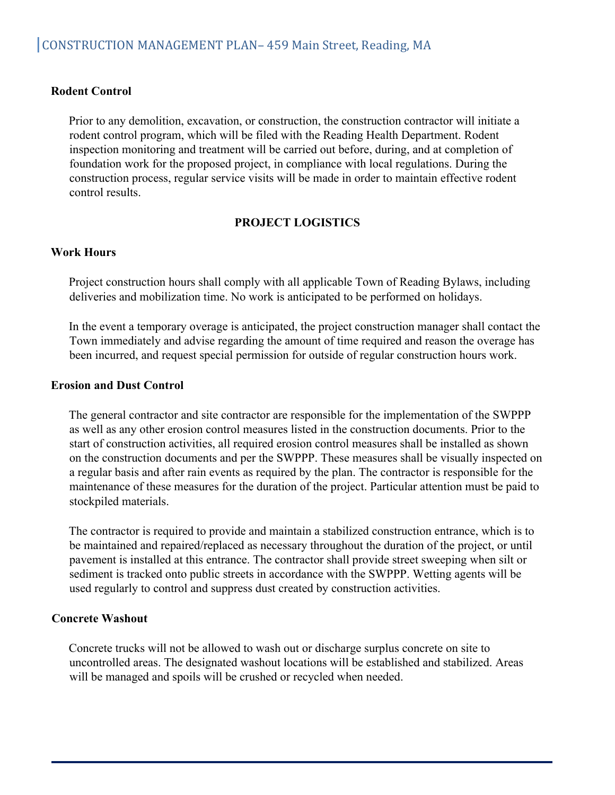#### **Rodent Control**

Prior to any demolition, excavation, or construction, the construction contractor will initiate a rodent control program, which will be filed with the Reading Health Department. Rodent inspection monitoring and treatment will be carried out before, during, and at completion of foundation work for the proposed project, in compliance with local regulations. During the construction process, regular service visits will be made in order to maintain effective rodent control results.

#### **PROJECT LOGISTICS**

#### **Work Hours**

Project construction hours shall comply with all applicable Town of Reading Bylaws, including deliveries and mobilization time. No work is anticipated to be performed on holidays.

In the event a temporary overage is anticipated, the project construction manager shall contact the Town immediately and advise regarding the amount of time required and reason the overage has been incurred, and request special permission for outside of regular construction hours work.

#### **Erosion and Dust Control**

The general contractor and site contractor are responsible for the implementation of the SWPPP as well as any other erosion control measures listed in the construction documents. Prior to the start of construction activities, all required erosion control measures shall be installed as shown on the construction documents and per the SWPPP. These measures shall be visually inspected on a regular basis and after rain events as required by the plan. The contractor is responsible for the maintenance of these measures for the duration of the project. Particular attention must be paid to stockpiled materials.

The contractor is required to provide and maintain a stabilized construction entrance, which is to be maintained and repaired/replaced as necessary throughout the duration of the project, or until pavement is installed at this entrance. The contractor shall provide street sweeping when silt or sediment is tracked onto public streets in accordance with the SWPPP. Wetting agents will be used regularly to control and suppress dust created by construction activities.

#### **Concrete Washout**

Concrete trucks will not be allowed to wash out or discharge surplus concrete on site to uncontrolled areas. The designated washout locations will be established and stabilized. Areas will be managed and spoils will be crushed or recycled when needed.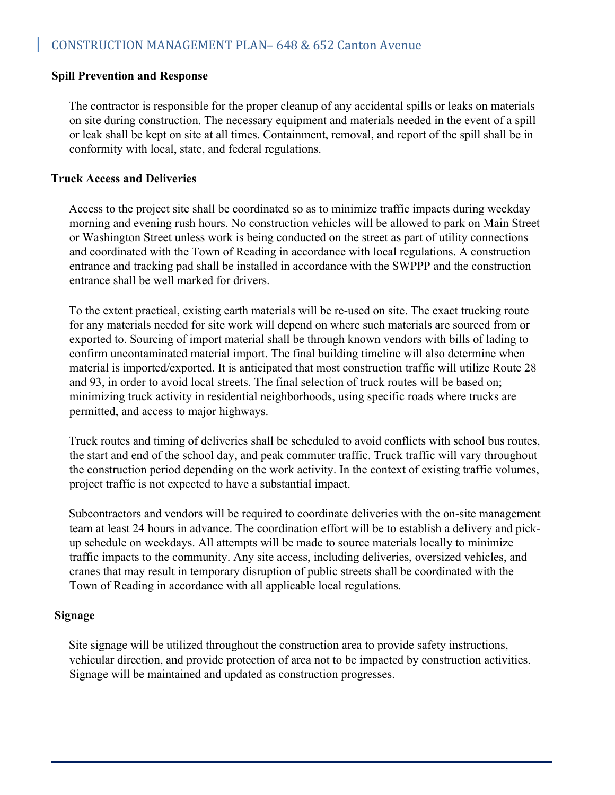#### **Spill Prevention and Response**

The contractor is responsible for the proper cleanup of any accidental spills or leaks on materials on site during construction. The necessary equipment and materials needed in the event of a spill or leak shall be kept on site at all times. Containment, removal, and report of the spill shall be in conformity with local, state, and federal regulations.

#### **Truck Access and Deliveries**

Access to the project site shall be coordinated so as to minimize traffic impacts during weekday morning and evening rush hours. No construction vehicles will be allowed to park on Main Street or Washington Street unless work is being conducted on the street as part of utility connections and coordinated with the Town of Reading in accordance with local regulations. A construction entrance and tracking pad shall be installed in accordance with the SWPPP and the construction entrance shall be well marked for drivers.

To the extent practical, existing earth materials will be re-used on site. The exact trucking route for any materials needed for site work will depend on where such materials are sourced from or exported to. Sourcing of import material shall be through known vendors with bills of lading to confirm uncontaminated material import. The final building timeline will also determine when material is imported/exported. It is anticipated that most construction traffic will utilize Route 28 and 93, in order to avoid local streets. The final selection of truck routes will be based on; minimizing truck activity in residential neighborhoods, using specific roads where trucks are permitted, and access to major highways.

Truck routes and timing of deliveries shall be scheduled to avoid conflicts with school bus routes, the start and end of the school day, and peak commuter traffic. Truck traffic will vary throughout the construction period depending on the work activity. In the context of existing traffic volumes, project traffic is not expected to have a substantial impact.

Subcontractors and vendors will be required to coordinate deliveries with the on-site management team at least 24 hours in advance. The coordination effort will be to establish a delivery and pickup schedule on weekdays. All attempts will be made to source materials locally to minimize traffic impacts to the community. Any site access, including deliveries, oversized vehicles, and cranes that may result in temporary disruption of public streets shall be coordinated with the Town of Reading in accordance with all applicable local regulations.

#### **Signage**

Site signage will be utilized throughout the construction area to provide safety instructions, vehicular direction, and provide protection of area not to be impacted by construction activities. Signage will be maintained and updated as construction progresses.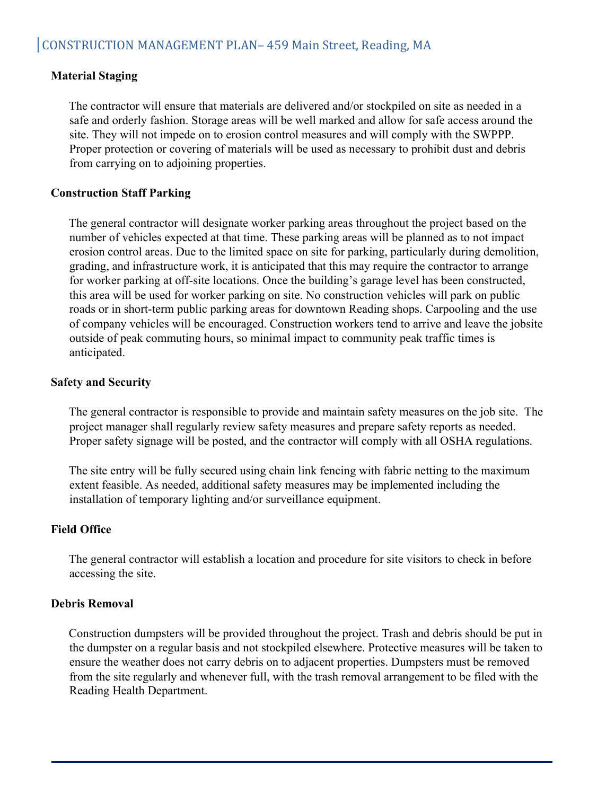#### **Material Staging**

The contractor will ensure that materials are delivered and/or stockpiled on site as needed in a safe and orderly fashion. Storage areas will be well marked and allow for safe access around the site. They will not impede on to erosion control measures and will comply with the SWPPP. Proper protection or covering of materials will be used as necessary to prohibit dust and debris from carrying on to adjoining properties.

#### **Construction Staff Parking**

The general contractor will designate worker parking areas throughout the project based on the number of vehicles expected at that time. These parking areas will be planned as to not impact erosion control areas. Due to the limited space on site for parking, particularly during demolition, grading, and infrastructure work, it is anticipated that this may require the contractor to arrange for worker parking at off-site locations. Once the building's garage level has been constructed, this area will be used for worker parking on site. No construction vehicles will park on public roads or in short-term public parking areas for downtown Reading shops. Carpooling and the use of company vehicles will be encouraged. Construction workers tend to arrive and leave the jobsite outside of peak commuting hours, so minimal impact to community peak traffic times is anticipated.

#### **Safety and Security**

The general contractor is responsible to provide and maintain safety measures on the job site. The project manager shall regularly review safety measures and prepare safety reports as needed. Proper safety signage will be posted, and the contractor will comply with all OSHA regulations.

The site entry will be fully secured using chain link fencing with fabric netting to the maximum extent feasible. As needed, additional safety measures may be implemented including the installation of temporary lighting and/or surveillance equipment.

#### **Field Office**

The general contractor will establish a location and procedure for site visitors to check in before accessing the site.

#### **Debris Removal**

Construction dumpsters will be provided throughout the project. Trash and debris should be put in the dumpster on a regular basis and not stockpiled elsewhere. Protective measures will be taken to ensure the weather does not carry debris on to adjacent properties. Dumpsters must be removed from the site regularly and whenever full, with the trash removal arrangement to be filed with the Reading Health Department.